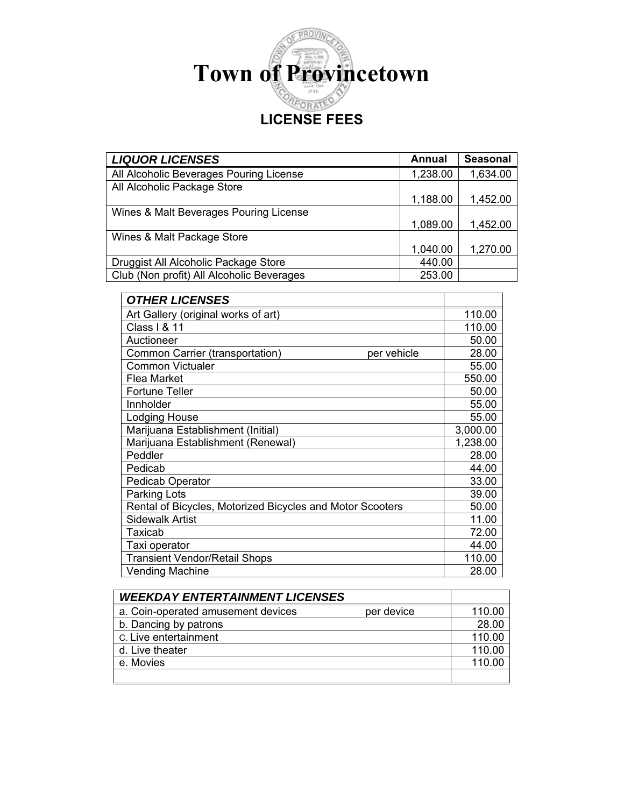

| <b>LIQUOR LICENSES</b>                    | Annual   | <b>Seasonal</b> |
|-------------------------------------------|----------|-----------------|
| All Alcoholic Beverages Pouring License   | 1,238.00 | 1,634.00        |
| All Alcoholic Package Store               |          |                 |
|                                           | 1,188.00 | 1,452.00        |
| Wines & Malt Beverages Pouring License    |          |                 |
|                                           | 1,089.00 | 1,452.00        |
| Wines & Malt Package Store                |          |                 |
|                                           | 1,040.00 | 1,270.00        |
| Druggist All Alcoholic Package Store      | 440.00   |                 |
| Club (Non profit) All Alcoholic Beverages | 253.00   |                 |

| <b>OTHER LICENSES</b>                                     |          |
|-----------------------------------------------------------|----------|
| Art Gallery (original works of art)                       | 110.00   |
| Class   & 11                                              | 110.00   |
| Auctioneer                                                | 50.00    |
| Common Carrier (transportation)<br>per vehicle            | 28.00    |
| <b>Common Victualer</b>                                   | 55.00    |
| Flea Market                                               | 550.00   |
| <b>Fortune Teller</b>                                     | 50.00    |
| Innholder                                                 | 55.00    |
| <b>Lodging House</b>                                      | 55.00    |
| Marijuana Establishment (Initial)                         | 3,000.00 |
| Marijuana Establishment (Renewal)                         | 1,238.00 |
| Peddler                                                   | 28.00    |
| Pedicab                                                   | 44.00    |
| <b>Pedicab Operator</b>                                   | 33.00    |
| Parking Lots                                              | 39.00    |
| Rental of Bicycles, Motorized Bicycles and Motor Scooters | 50.00    |
| <b>Sidewalk Artist</b>                                    | 11.00    |
| Taxicab                                                   | 72.00    |
| Taxi operator                                             | 44.00    |
| <b>Transient Vendor/Retail Shops</b>                      | 110.00   |
| Vending Machine                                           | 28.00    |

| <b>WEEKDAY ENTERTAINMENT LICENSES</b> |            |        |
|---------------------------------------|------------|--------|
| a. Coin-operated amusement devices    | per device | 110.00 |
| b. Dancing by patrons                 |            | 28.00  |
| C. Live entertainment                 |            | 110.00 |
| d. Live theater                       |            | 110.00 |
| e. Movies                             |            | 110.00 |
|                                       |            |        |